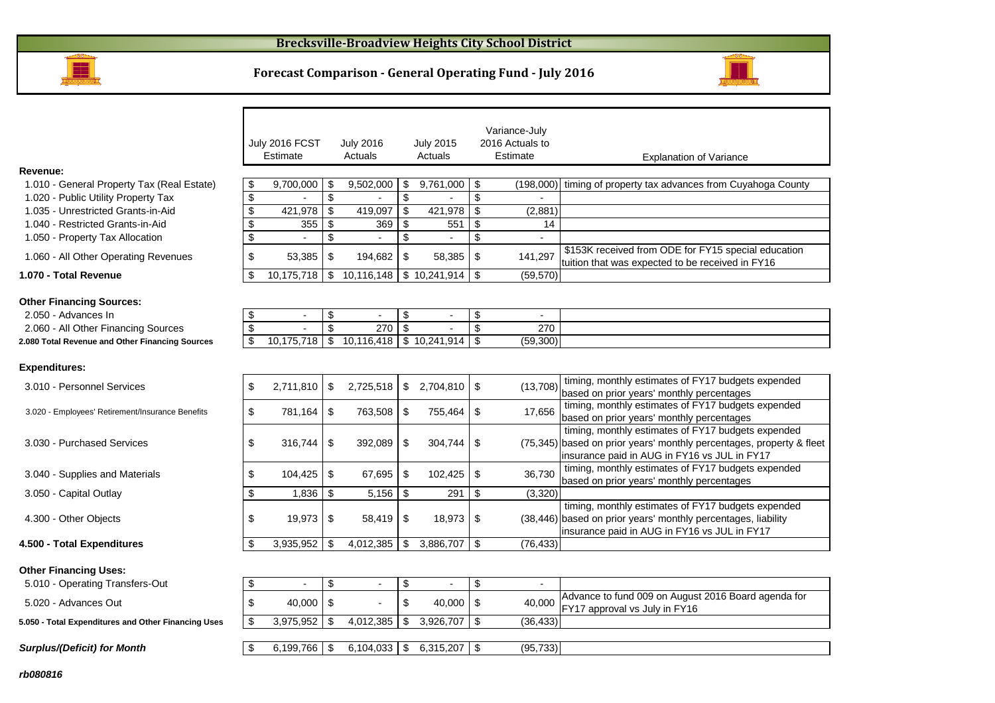

#### **Forecast Comparison - General Operating Fund - July 2016**



|                                                     |                      | July 2016 FCST<br>Estimate |                               | <b>July 2016</b><br>Actuals           |                                | <b>July 2015</b><br>Actuals |                           | Variance-July<br>2016 Actuals to<br>Estimate | <b>Explanation of Variance</b>                                                                                                                                             |
|-----------------------------------------------------|----------------------|----------------------------|-------------------------------|---------------------------------------|--------------------------------|-----------------------------|---------------------------|----------------------------------------------|----------------------------------------------------------------------------------------------------------------------------------------------------------------------------|
| Revenue:                                            |                      |                            |                               |                                       |                                |                             |                           |                                              |                                                                                                                                                                            |
| 1.010 - General Property Tax (Real Estate)          | \$                   | 9,700,000                  | S                             | 9,502,000                             | S                              | 9,761,000                   | \$                        | (198,000)                                    | timing of property tax advances from Cuyahoga County                                                                                                                       |
| 1.020 - Public Utility Property Tax                 | \$                   |                            | \$                            |                                       | \$                             |                             | \$                        |                                              |                                                                                                                                                                            |
| 1.035 - Unrestricted Grants-in-Aid                  | \$                   | 421,978                    | \$                            | 419,097                               | \$                             | 421,978                     | $\boldsymbol{\mathsf{S}}$ | (2,881)                                      |                                                                                                                                                                            |
| 1.040 - Restricted Grants-in-Aid                    | \$                   | 355                        | \$                            | 369                                   | $\boldsymbol{\mathsf{S}}$      | 551                         | \$                        | 14                                           |                                                                                                                                                                            |
| 1.050 - Property Tax Allocation                     | \$                   |                            | \$                            | $\overline{a}$                        | \$                             | $\blacksquare$              | \$                        | ÷,                                           |                                                                                                                                                                            |
| 1.060 - All Other Operating Revenues                | \$                   | 53,385                     | \$                            | 194,682                               | \$                             | 58,385                      | \$                        | 141,297                                      | \$153K received from ODE for FY15 special education<br>tuition that was expected to be received in FY16                                                                    |
| 1.070 - Total Revenue                               | \$                   | 10,175,718                 |                               | \$10,116,148                          |                                | \$10,241,914                | l \$                      | (59, 570)                                    |                                                                                                                                                                            |
| <b>Other Financing Sources:</b>                     |                      |                            |                               |                                       |                                |                             |                           |                                              |                                                                                                                                                                            |
| 2.050 - Advances In                                 | \$                   | $\blacksquare$             | \$<br>$\overline{\mathbb{S}}$ |                                       | \$<br>$\overline{\mathcal{S}}$ |                             | \$                        | $\blacksquare$                               |                                                                                                                                                                            |
| 2.060 - All Other Financing Sources                 | \$<br>$\mathfrak{L}$ | 10,175,718                 |                               | 270<br>$$10,116,418 \mid $10,241,914$ |                                |                             | \$<br>\$                  | 270<br>(59,300)                              |                                                                                                                                                                            |
| 2.080 Total Revenue and Other Financing Sources     |                      |                            |                               |                                       |                                |                             |                           |                                              |                                                                                                                                                                            |
| <b>Expenditures:</b>                                |                      |                            |                               |                                       |                                |                             |                           |                                              |                                                                                                                                                                            |
| 3.010 - Personnel Services                          | \$                   | 2,711,810                  | \$                            | 2,725,518                             | $\mathfrak{P}$                 | 2,704,810                   | $\sqrt{3}$                | (13,708)                                     | timing, monthly estimates of FY17 budgets expended<br>based on prior years' monthly percentages                                                                            |
| 3.020 - Employees' Retirement/Insurance Benefits    | \$                   | 781,164                    | \$                            | 763,508                               | \$                             | 755,464                     | -\$                       | 17,656                                       | timing, monthly estimates of FY17 budgets expended<br>based on prior years' monthly percentages                                                                            |
| 3.030 - Purchased Services                          | \$                   | 316,744                    | \$                            | 392,089                               | \$                             | 304,744                     | \$                        |                                              | timing, monthly estimates of FY17 budgets expended<br>(75,345) based on prior years' monthly percentages, property & fleet<br>insurance paid in AUG in FY16 vs JUL in FY17 |
| 3.040 - Supplies and Materials                      | \$                   | 104,425                    | \$                            | 67,695                                | \$                             | 102,425                     | $\boldsymbol{\mathsf{s}}$ | 36,730                                       | timing, monthly estimates of FY17 budgets expended<br>based on prior years' monthly percentages                                                                            |
| 3.050 - Capital Outlay                              | \$                   | 1,836                      | \$                            | 5,156                                 | \$                             | 291                         | $\boldsymbol{\mathsf{s}}$ | (3, 320)                                     |                                                                                                                                                                            |
| 4.300 - Other Objects                               | \$                   | 19,973                     | \$                            | 58,419                                | \$                             | 18,973                      | -\$                       |                                              | timing, monthly estimates of FY17 budgets expended<br>(38,446) based on prior years' monthly percentages, liability<br>insurance paid in AUG in FY16 vs JUL in FY17        |
| 4.500 - Total Expenditures                          | \$                   | 3,935,952                  | \$                            | 4,012,385                             | \$                             | 3,886,707                   | $\sqrt{3}$                | (76, 433)                                    |                                                                                                                                                                            |
| <b>Other Financing Uses:</b>                        |                      |                            |                               |                                       |                                |                             |                           |                                              |                                                                                                                                                                            |
| 5.010 - Operating Transfers-Out                     | \$                   | $\blacksquare$             | \$                            | $\overline{\phantom{a}}$              | \$                             |                             | \$                        | $\blacksquare$                               |                                                                                                                                                                            |
| 5.020 - Advances Out                                | \$                   | 40,000                     | \$                            |                                       | \$                             | 40,000                      | $\sqrt{3}$                | 40,000                                       | Advance to fund 009 on August 2016 Board agenda for<br>FY17 approval vs July in FY16                                                                                       |
| 5.050 - Total Expenditures and Other Financing Uses | \$                   | 3,975,952                  | \$                            | 4,012,385                             | \$                             | 3,926,707                   | l \$                      | (36, 433)                                    |                                                                                                                                                                            |
| <b>Surplus/(Deficit) for Month</b>                  | \$                   | 6.199.766                  | l \$                          | 6,104,033                             | $\sqrt[6]{3}$                  | $6,315,207$ \$              |                           | (95, 733)                                    |                                                                                                                                                                            |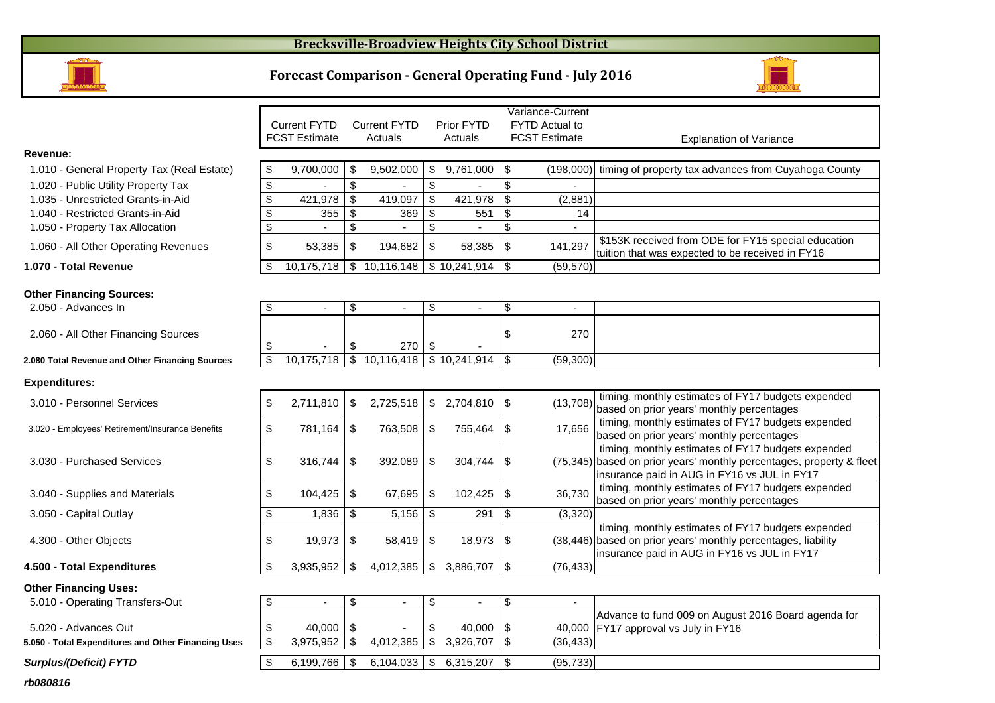# **Brecksville-Broadview Heights City School District**

# **Forecast Comparison - General Operating Fund - July 2016**



|                                                     |                           |                      |                      |                          |                          |                           | Variance-Current      |                                                                                                 |
|-----------------------------------------------------|---------------------------|----------------------|----------------------|--------------------------|--------------------------|---------------------------|-----------------------|-------------------------------------------------------------------------------------------------|
|                                                     |                           | <b>Current FYTD</b>  | <b>Current FYTD</b>  |                          | <b>Prior FYTD</b>        |                           | <b>FYTD Actual to</b> |                                                                                                 |
|                                                     |                           | <b>FCST Estimate</b> | Actuals              |                          | Actuals                  |                           | <b>FCST Estimate</b>  | <b>Explanation of Variance</b>                                                                  |
| Revenue:                                            |                           |                      |                      |                          |                          |                           |                       |                                                                                                 |
| 1.010 - General Property Tax (Real Estate)          | \$                        | 9,700,000            | \$<br>9,502,000      | \$                       | 9,761,000                | $\boldsymbol{\mathsf{S}}$ | (198,000)             | timing of property tax advances from Cuyahoga County                                            |
| 1.020 - Public Utility Property Tax                 | $\overline{\mathbf{3}}$   |                      | \$                   | \$                       |                          | $\mathbb S$               | $\overline{a}$        |                                                                                                 |
| 1.035 - Unrestricted Grants-in-Aid                  | $\frac{1}{2}$             | 421,978              | \$<br>419,097        | \$                       | 421,978                  | \$                        | (2,881)               |                                                                                                 |
| 1.040 - Restricted Grants-in-Aid                    | $\frac{1}{2}$             | 355                  | \$<br>369            | \$                       | 551                      | \$                        | 14                    |                                                                                                 |
| 1.050 - Property Tax Allocation                     | \$                        |                      | \$                   | \$                       |                          | \$                        |                       |                                                                                                 |
| 1.060 - All Other Operating Revenues                | $\frac{1}{2}$             | 53,385               | \$<br>194,682        | \$                       | 58,385                   | \$                        | 141,297               | \$153K received from ODE for FY15 special education                                             |
|                                                     |                           |                      |                      |                          |                          |                           |                       | tuition that was expected to be received in FY16                                                |
| 1.070 - Total Revenue                               | \$                        | 10,175,718           | \$10,116,148         |                          | $$10,241,914$ \\$        |                           | (59, 570)             |                                                                                                 |
|                                                     |                           |                      |                      |                          |                          |                           |                       |                                                                                                 |
| <b>Other Financing Sources:</b>                     |                           |                      |                      |                          |                          |                           |                       |                                                                                                 |
| 2.050 - Advances In                                 | \$                        | $\sim$               | \$<br>$\blacksquare$ | \$                       | $\sim$                   | \$                        | $\sim$                |                                                                                                 |
|                                                     |                           |                      |                      |                          |                          | \$                        | 270                   |                                                                                                 |
| 2.060 - All Other Financing Sources                 | \$                        |                      | \$<br>270            | \$                       |                          |                           |                       |                                                                                                 |
| 2.080 Total Revenue and Other Financing Sources     | $\mathbf{\$}$             | 10,175,718           | \$10,116,418         |                          | $\frac{1}{3}$ 10,241,914 | $\sqrt{3}$                | (59,300)              |                                                                                                 |
|                                                     |                           |                      |                      |                          |                          |                           |                       |                                                                                                 |
| <b>Expenditures:</b>                                |                           |                      |                      |                          |                          |                           |                       |                                                                                                 |
| 3.010 - Personnel Services                          | \$                        | 2,711,810            | \$<br>2,725,518      |                          | $$2,704,810$ \\$         |                           | (13,708)              | timing, monthly estimates of FY17 budgets expended                                              |
|                                                     |                           |                      |                      |                          |                          |                           |                       | based on prior years' monthly percentages                                                       |
| 3.020 - Employees' Retirement/Insurance Benefits    | \$                        | 781,164              | \$<br>763,508        | \$                       | 755,464                  | \$                        | 17,656                | timing, monthly estimates of FY17 budgets expended                                              |
|                                                     |                           |                      |                      |                          |                          |                           |                       | based on prior years' monthly percentages<br>timing, monthly estimates of FY17 budgets expended |
| 3.030 - Purchased Services                          | \$                        | 316,744              | \$<br>392,089        | \$                       | 304,744                  | \$                        |                       | (75,345) based on prior years' monthly percentages, property & fleet                            |
|                                                     |                           |                      |                      |                          |                          |                           |                       | insurance paid in AUG in FY16 vs JUL in FY17                                                    |
|                                                     |                           |                      |                      |                          |                          |                           |                       | timing, monthly estimates of FY17 budgets expended                                              |
| 3.040 - Supplies and Materials                      | \$                        | 104,425              | \$<br>67,695         | \$                       | 102,425                  | $\sqrt{3}$                | 36,730                | based on prior years' monthly percentages                                                       |
| 3.050 - Capital Outlay                              | $\boldsymbol{\mathsf{S}}$ | 1,836                | \$<br>5,156          | $\$\$                    | 291                      | \$                        | (3,320)               |                                                                                                 |
|                                                     |                           |                      |                      |                          |                          |                           |                       | timing, monthly estimates of FY17 budgets expended                                              |
| 4.300 - Other Objects                               | \$                        | 19,973               | \$<br>58,419         | \$                       | 18,973                   | \$                        |                       | (38,446) based on prior years' monthly percentages, liability                                   |
|                                                     |                           |                      |                      |                          |                          |                           |                       | insurance paid in AUG in FY16 vs JUL in FY17                                                    |
| 4.500 - Total Expenditures                          | $\mathfrak{L}$            | 3,935,952            | \$<br>4,012,385      | \$                       | 3,886,707                | $\mathfrak{L}$            | (76, 433)             |                                                                                                 |
| <b>Other Financing Uses:</b>                        |                           |                      |                      |                          |                          |                           |                       |                                                                                                 |
| 5.010 - Operating Transfers-Out                     | \$                        | $\sim$               | \$<br>$\blacksquare$ | \$                       | $\sim$                   | \$                        | $\sim$                |                                                                                                 |
|                                                     |                           |                      |                      |                          |                          |                           |                       | Advance to fund 009 on August 2016 Board agenda for                                             |
| 5.020 - Advances Out                                | \$                        | 40,000               | \$                   | \$                       | 40,000                   | \$                        |                       | 40,000 FY17 approval vs July in FY16                                                            |
| 5.050 - Total Expenditures and Other Financing Uses | $\mathbf{\$}$             | 3,975,952            | \$<br>4,012,385      | $\overline{\mathcal{S}}$ | 3,926,707                | $\overline{\mathbf{s}}$   | (36, 433)             |                                                                                                 |
|                                                     |                           |                      |                      |                          |                          |                           |                       |                                                                                                 |
| <b>Surplus/(Deficit) FYTD</b>                       | \$                        | 6,199,766            | \$<br>6,104,033      | \$                       | 6,315,207   $$$          |                           | (95, 733)             |                                                                                                 |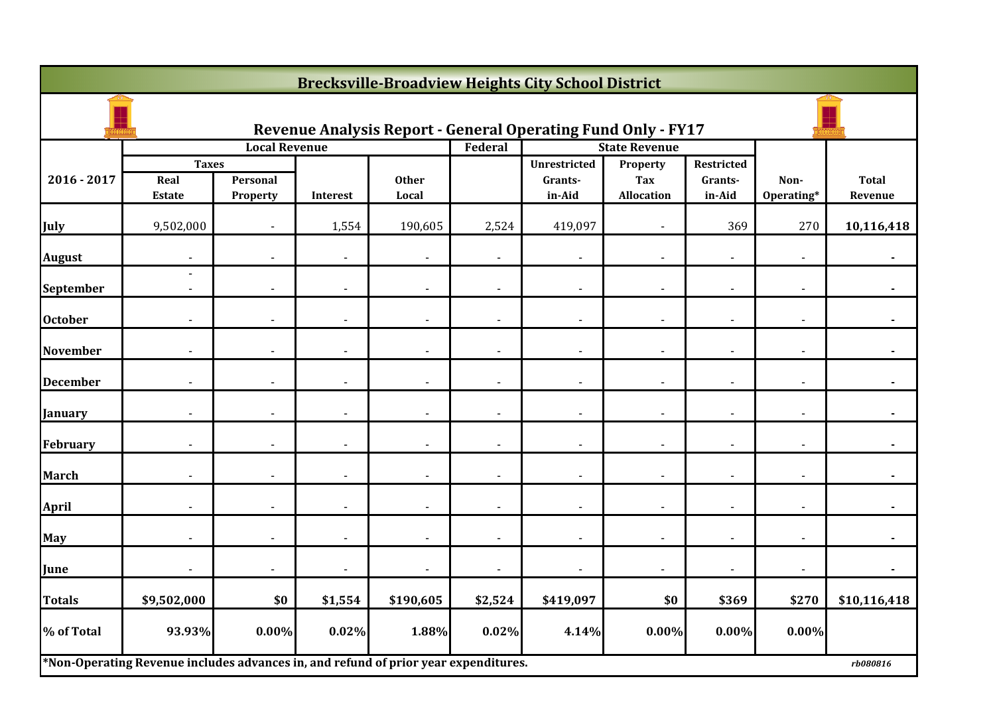|                 | <b>Brecksville-Broadview Heights City School District</b>                           |                          |                 |                       |                          |                                                                     |                                  |                   |                    |                         |  |  |
|-----------------|-------------------------------------------------------------------------------------|--------------------------|-----------------|-----------------------|--------------------------|---------------------------------------------------------------------|----------------------------------|-------------------|--------------------|-------------------------|--|--|
|                 |                                                                                     |                          |                 |                       |                          | <b>Revenue Analysis Report - General Operating Fund Only - FY17</b> |                                  |                   |                    |                         |  |  |
|                 | <b>Taxes</b>                                                                        | <b>Local Revenue</b>     |                 |                       | Federal                  | <b>Unrestricted</b>                                                 | <b>State Revenue</b><br>Property | Restricted        |                    |                         |  |  |
| 2016 - 2017     | Real<br><b>Estate</b>                                                               | Personal<br>Property     | <b>Interest</b> | <b>Other</b><br>Local |                          | Grants-<br>in-Aid                                                   | <b>Tax</b><br><b>Allocation</b>  | Grants-<br>in-Aid | Non-<br>Operating* | <b>Total</b><br>Revenue |  |  |
| <b>July</b>     | 9,502,000                                                                           |                          | 1,554           | 190,605               | 2,524                    | 419,097                                                             |                                  | 369               | 270                | 10,116,418              |  |  |
| <b>August</b>   |                                                                                     |                          | $\blacksquare$  |                       |                          | $\overline{a}$                                                      |                                  |                   |                    |                         |  |  |
| September       | $\overline{a}$<br>$\overline{\phantom{a}}$                                          | $\overline{\phantom{a}}$ | $\blacksquare$  | $\blacksquare$        | $\overline{\phantom{a}}$ | $\blacksquare$                                                      | $\overline{\phantom{a}}$         | $\blacksquare$    | $\sim$             |                         |  |  |
| <b>October</b>  |                                                                                     | $\overline{a}$           | $\blacksquare$  |                       |                          | $\overline{\phantom{a}}$                                            |                                  |                   |                    |                         |  |  |
| <b>November</b> |                                                                                     | $\blacksquare$           | $\blacksquare$  |                       | $\blacksquare$           | $\overline{\phantom{a}}$                                            | $\overline{\phantom{0}}$         |                   |                    |                         |  |  |
| <b>December</b> |                                                                                     |                          |                 |                       |                          | $\overline{\phantom{a}}$                                            |                                  |                   |                    |                         |  |  |
| January         |                                                                                     |                          | $\overline{a}$  |                       |                          | $\overline{\phantom{a}}$                                            |                                  |                   |                    |                         |  |  |
| February        | $\overline{\phantom{a}}$                                                            | $\overline{\phantom{a}}$ | $\blacksquare$  | $\blacksquare$        | $\overline{\phantom{a}}$ | $\blacksquare$                                                      | $\blacksquare$                   | $\blacksquare$    | $\sim$             | $\blacksquare$          |  |  |
| <b>March</b>    |                                                                                     |                          | $\overline{a}$  |                       | $\blacksquare$           | $\overline{\phantom{a}}$                                            |                                  |                   |                    |                         |  |  |
| <b>April</b>    |                                                                                     |                          | $\overline{a}$  |                       | $\overline{a}$           | $\blacksquare$                                                      |                                  |                   |                    |                         |  |  |
| May             |                                                                                     |                          | $\blacksquare$  |                       |                          | $\blacksquare$                                                      |                                  |                   |                    |                         |  |  |
| June            |                                                                                     |                          | $\blacksquare$  |                       |                          | $\blacksquare$                                                      |                                  |                   |                    |                         |  |  |
| Totals          | \$9,502,000                                                                         | \$0                      | \$1,554         | \$190,605             | \$2,524                  | \$419,097                                                           | \$0                              | \$369             | \$270              | \$10,116,418            |  |  |
| % of Total      | 93.93%                                                                              | $0.00\%$                 | 0.02%           | 1.88%                 | 0.02%                    | 4.14%                                                               | 0.00%                            | $0.00\%$          | $0.00\%$           |                         |  |  |
|                 | *Non-Operating Revenue includes advances in, and refund of prior year expenditures. |                          |                 |                       |                          |                                                                     |                                  |                   |                    | rb080816                |  |  |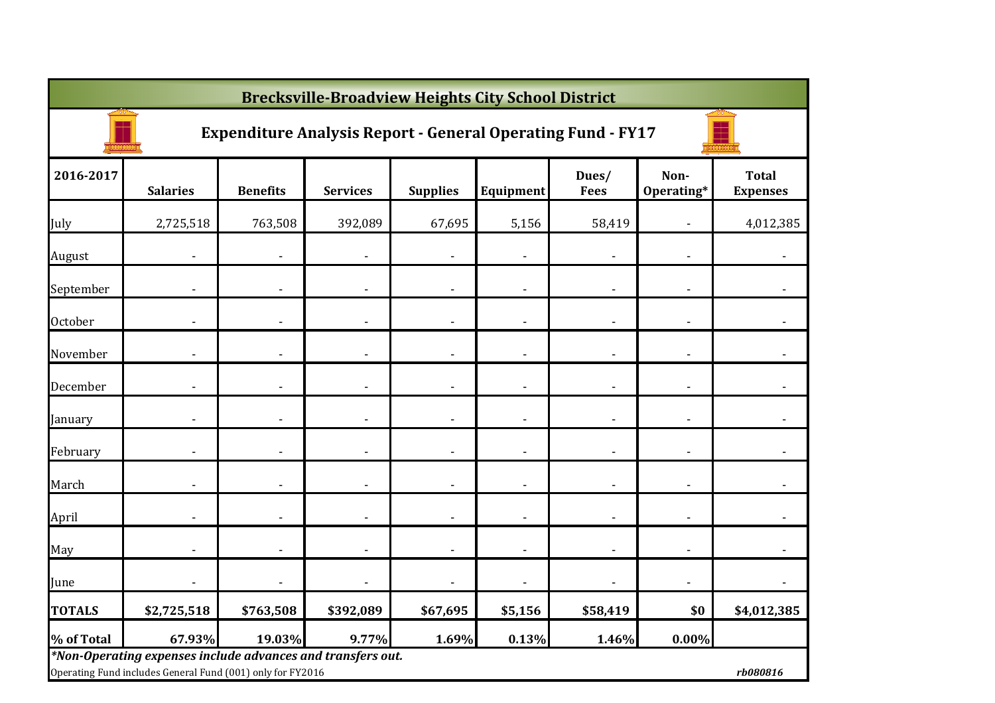|               | <b>Brecksville-Broadview Heights City School District</b>                                                                 |                 |                 |                 |                          |                      |                          |                                 |  |  |  |  |
|---------------|---------------------------------------------------------------------------------------------------------------------------|-----------------|-----------------|-----------------|--------------------------|----------------------|--------------------------|---------------------------------|--|--|--|--|
|               | <b>Expenditure Analysis Report - General Operating Fund - FY17</b>                                                        |                 |                 |                 |                          |                      |                          |                                 |  |  |  |  |
| 2016-2017     | <b>Salaries</b>                                                                                                           | <b>Benefits</b> | <b>Services</b> | <b>Supplies</b> | Equipment                | Dues/<br><b>Fees</b> | Non-<br>Operating*       | <b>Total</b><br><b>Expenses</b> |  |  |  |  |
| July          | 2,725,518                                                                                                                 | 763,508         | 392,089         | 67,695          | 5,156                    | 58,419               |                          | 4,012,385                       |  |  |  |  |
| August        |                                                                                                                           |                 |                 |                 |                          |                      |                          |                                 |  |  |  |  |
| September     |                                                                                                                           |                 |                 |                 |                          |                      |                          |                                 |  |  |  |  |
| October       |                                                                                                                           |                 |                 |                 |                          |                      |                          |                                 |  |  |  |  |
| November      |                                                                                                                           |                 |                 |                 |                          |                      |                          |                                 |  |  |  |  |
| December      |                                                                                                                           |                 |                 |                 |                          |                      |                          |                                 |  |  |  |  |
| January       |                                                                                                                           |                 |                 |                 |                          |                      |                          |                                 |  |  |  |  |
| February      |                                                                                                                           |                 |                 |                 |                          |                      |                          |                                 |  |  |  |  |
| March         |                                                                                                                           |                 |                 |                 | $\overline{a}$           |                      | ٠                        |                                 |  |  |  |  |
| April         |                                                                                                                           |                 |                 |                 | $\overline{\phantom{a}}$ |                      | ٠                        |                                 |  |  |  |  |
| May           |                                                                                                                           |                 |                 |                 | $\overline{\phantom{a}}$ |                      | $\overline{\phantom{a}}$ |                                 |  |  |  |  |
| June          |                                                                                                                           |                 |                 |                 | $\overline{\phantom{a}}$ |                      | ٠                        |                                 |  |  |  |  |
| <b>TOTALS</b> | \$2,725,518                                                                                                               | \$763,508       | \$392,089       | \$67,695        | \$5,156                  | \$58,419             | \$0                      | \$4,012,385                     |  |  |  |  |
| % of Total    | 67.93%                                                                                                                    | 19.03%          | 9.77%           | 1.69%           | 0.13%                    | 1.46%                | 0.00%                    |                                 |  |  |  |  |
|               | *Non-Operating expenses include advances and transfers out.<br>Operating Fund includes General Fund (001) only for FY2016 |                 |                 |                 |                          |                      |                          | rb080816                        |  |  |  |  |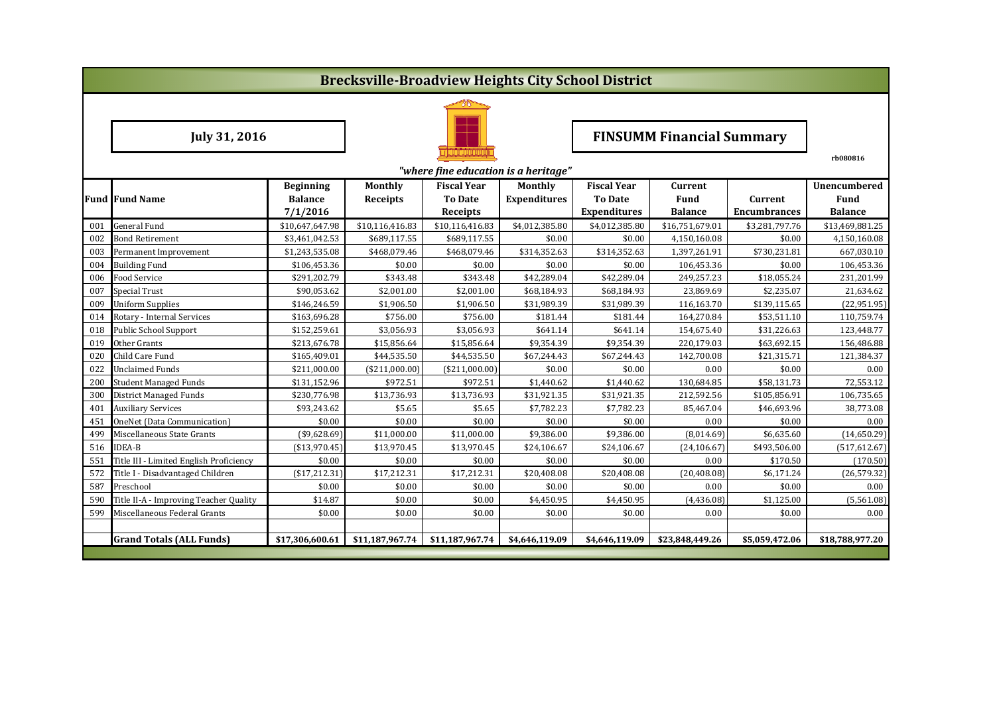|                      | <b>Brecksville-Broadview Heights City School District</b> |                            |                 |                            |                     |                                       |                                  |                                |                        |  |  |  |
|----------------------|-----------------------------------------------------------|----------------------------|-----------------|----------------------------|---------------------|---------------------------------------|----------------------------------|--------------------------------|------------------------|--|--|--|
|                      |                                                           |                            |                 |                            |                     |                                       |                                  |                                |                        |  |  |  |
| <b>July 31, 2016</b> |                                                           |                            |                 |                            |                     |                                       | <b>FINSUMM Financial Summary</b> |                                |                        |  |  |  |
|                      |                                                           |                            |                 |                            |                     |                                       |                                  |                                | rb080816               |  |  |  |
|                      | "where fine education is a heritage"                      |                            |                 |                            |                     |                                       |                                  |                                |                        |  |  |  |
|                      |                                                           | <b>Beginning</b>           | Monthly         | <b>Fiscal Year</b>         | Monthly             | <b>Fiscal Year</b>                    | Current                          |                                | Unencumbered           |  |  |  |
|                      | <b>Fund Fund Name</b>                                     | <b>Balance</b><br>7/1/2016 | Receipts        | <b>To Date</b><br>Receipts | <b>Expenditures</b> | <b>To Date</b><br><b>Expenditures</b> | Fund<br><b>Balance</b>           | Current<br><b>Encumbrances</b> | Fund<br><b>Balance</b> |  |  |  |
| 001                  | <b>General Fund</b>                                       | \$10,647,647.98            | \$10,116,416.83 | \$10,116,416.83            | \$4,012,385.80      | \$4,012,385.80                        | \$16,751,679.01                  | \$3,281,797.76                 | \$13,469,881.25        |  |  |  |
| 002                  | <b>Bond Retirement</b>                                    | \$3,461,042.53             | \$689,117.55    | \$689,117.55               | \$0.00              | \$0.00                                | 4,150,160.08                     | \$0.00                         | 4,150,160.08           |  |  |  |
| 003                  | Permanent Improvement                                     | \$1,243,535.08             | \$468,079.46    | \$468,079.46               | \$314,352.63        | \$314,352.63                          | 1,397,261.91                     | \$730,231.81                   | 667,030.10             |  |  |  |
| 004                  | <b>Building Fund</b>                                      | \$106,453.36               | \$0.00          | \$0.00                     | \$0.00              | \$0.00                                | 106,453.36                       | \$0.00                         | 106,453.36             |  |  |  |
| 006                  | Food Service                                              | \$291,202.79               | \$343.48        | \$343.48                   | \$42,289.04         | \$42,289.04                           | 249,257.23                       | \$18,055.24                    | 231,201.99             |  |  |  |
| 007                  | Special Trust                                             | \$90,053.62                | \$2,001.00      | \$2,001.00                 | \$68,184.93         | \$68,184.93                           | 23,869.69                        | \$2,235.07                     | 21,634.62              |  |  |  |
| 009                  | <b>Uniform Supplies</b>                                   | \$146,246.59               | \$1,906.50      | \$1,906.50                 | \$31,989.39         | \$31,989.39                           | 116,163.70                       | \$139,115.65                   | (22, 951.95)           |  |  |  |
| 014                  | Rotary - Internal Services                                | \$163,696.28               | \$756.00        | \$756.00                   | \$181.44            | \$181.44                              | 164,270.84                       | \$53,511.10                    | 110,759.74             |  |  |  |
| 018                  | <b>Public School Support</b>                              | \$152,259.61               | \$3,056.93      | \$3,056.93                 | \$641.14            | \$641.14                              | 154,675.40                       | \$31,226.63                    | 123,448.77             |  |  |  |
| 019                  | Other Grants                                              | \$213,676.78               | \$15,856.64     | \$15,856.64                | \$9,354.39          | \$9,354.39                            | 220,179.03                       | \$63,692.15                    | 156,486.88             |  |  |  |
| 020                  | Child Care Fund                                           | \$165,409.01               | \$44,535.50     | \$44,535.50                | \$67,244.43         | \$67,244.43                           | 142,700.08                       | \$21,315.71                    | 121,384.37             |  |  |  |
| 022                  | <b>Unclaimed Funds</b>                                    | \$211,000.00               | ( \$211,000.00] | (\$211,000.00)             | \$0.00              | \$0.00                                | 0.00                             | \$0.00                         | 0.00                   |  |  |  |
| 200                  | <b>Student Managed Funds</b>                              | \$131,152.96               | \$972.51        | \$972.51                   | \$1,440.62          | \$1,440.62                            | 130,684.85                       | \$58,131.73                    | 72,553.12              |  |  |  |
| 300                  | <b>District Managed Funds</b>                             | \$230,776.98               | \$13,736.93     | \$13,736.93                | \$31,921.35         | \$31,921.35                           | 212,592.56                       | \$105,856.91                   | 106,735.65             |  |  |  |
| 401                  | <b>Auxiliary Services</b>                                 | \$93,243.62                | \$5.65          | \$5.65                     | \$7,782.23          | \$7,782.23                            | 85,467.04                        | \$46,693.96                    | 38,773.08              |  |  |  |
| 451                  | OneNet (Data Communication)                               | \$0.00                     | \$0.00          | \$0.00                     | \$0.00              | \$0.00                                | 0.00                             | \$0.00                         | 0.00                   |  |  |  |
| 499                  | Miscellaneous State Grants                                | $(*9,628.69)$              | \$11,000.00     | \$11,000.00                | \$9,386.00          | \$9,386.00                            | (8,014.69)                       | \$6,635.60                     | (14,650.29)            |  |  |  |
| 516                  | <b>IDEA-B</b>                                             | ( \$13,970.45)             | \$13,970.45     | \$13,970.45                | \$24,106.67         | \$24,106.67                           | (24, 106.67)                     | \$493,506.00                   | (517, 612.67)          |  |  |  |
| 551                  | Title III - Limited English Proficiency                   | \$0.00                     | \$0.00          | \$0.00                     | \$0.00              | \$0.00                                | 0.00                             | \$170.50                       | (170.50)               |  |  |  |
| 572                  | Title I - Disadvantaged Children                          | (\$17,212.31)              | \$17,212.31     | \$17,212.31                | \$20,408.08         | \$20,408.08                           | (20, 408.08)                     | \$6,171.24                     | (26, 579.32)           |  |  |  |
| 587                  | Preschool                                                 | \$0.00                     | \$0.00          | \$0.00                     | \$0.00              | \$0.00                                | 0.00                             | \$0.00                         | 0.00                   |  |  |  |
| 590                  | Title II-A - Improving Teacher Quality                    | \$14.87                    | \$0.00          | \$0.00                     | \$4,450.95          | \$4,450.95                            | (4,436.08)                       | \$1,125.00                     | (5,561.08)             |  |  |  |
| 599                  | Miscellaneous Federal Grants                              | \$0.00                     | \$0.00          | \$0.00                     | \$0.00              | \$0.00                                | 0.00                             | \$0.00                         | 0.00                   |  |  |  |
|                      |                                                           |                            |                 |                            |                     |                                       |                                  |                                |                        |  |  |  |
|                      | <b>Grand Totals (ALL Funds)</b>                           | \$17,306,600.61            | \$11,187,967.74 | \$11,187,967.74            | \$4,646,119.09      | \$4,646,119.09                        | \$23,848,449.26                  | \$5,059,472.06                 | \$18,788,977.20        |  |  |  |
|                      |                                                           |                            |                 |                            |                     |                                       |                                  |                                |                        |  |  |  |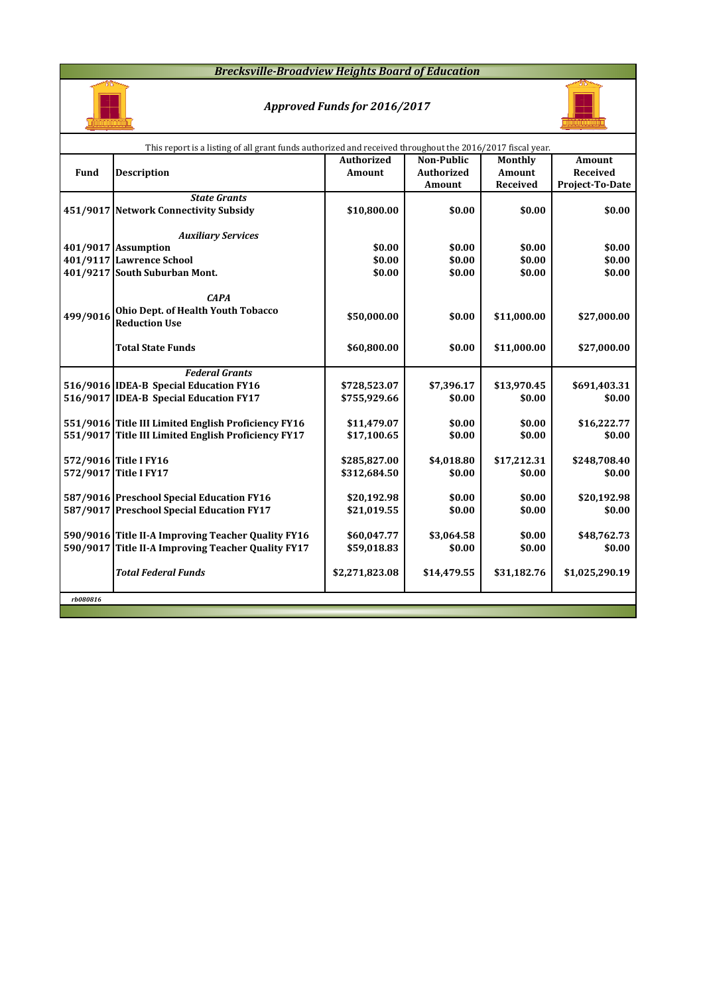#### *Brecksville-Broadview Heights Board of Education*



### *Approved Funds for 2016/2017*



|          | This report is a listing of all grant funds authorized and received throughout the 2016/2017 fiscal year. |                   |                   |             |                 |
|----------|-----------------------------------------------------------------------------------------------------------|-------------------|-------------------|-------------|-----------------|
|          |                                                                                                           | <b>Authorized</b> | <b>Non-Public</b> | Monthly     | <b>Amount</b>   |
| Fund     | <b>Description</b>                                                                                        | <b>Amount</b>     | Authorized        | Amount      | Received        |
|          |                                                                                                           |                   | Amount            | Received    | Project-To-Date |
|          | <b>State Grants</b>                                                                                       |                   |                   |             |                 |
|          | 451/9017 Network Connectivity Subsidy                                                                     | \$10,800.00       | \$0.00            | \$0.00      | \$0.00          |
|          |                                                                                                           |                   |                   |             |                 |
|          | <b>Auxiliary Services</b>                                                                                 |                   |                   |             |                 |
|          | 401/9017 Assumption                                                                                       | \$0.00            | \$0.00            | \$0.00      | \$0.00          |
|          | 401/9117 Lawrence School                                                                                  | \$0.00            | \$0.00            | \$0.00      | \$0.00          |
|          | 401/9217 South Suburban Mont.                                                                             | \$0.00            | \$0.00            | \$0.00      | \$0.00          |
|          |                                                                                                           |                   |                   |             |                 |
|          | <b>CAPA</b>                                                                                               |                   |                   |             |                 |
| 499/9016 | Ohio Dept. of Health Youth Tobacco                                                                        | \$50,000.00       | \$0.00            | \$11,000.00 | \$27,000.00     |
|          | <b>Reduction Use</b>                                                                                      |                   |                   |             |                 |
|          |                                                                                                           |                   |                   |             |                 |
|          | <b>Total State Funds</b>                                                                                  | \$60,800.00       | \$0.00            | \$11,000.00 | \$27,000.00     |
|          | <b>Federal Grants</b>                                                                                     |                   |                   |             |                 |
|          | 516/9016 IDEA-B Special Education FY16                                                                    | \$728,523.07      | \$7,396.17        | \$13,970.45 | \$691,403.31    |
|          | 516/9017 IDEA-B Special Education FY17                                                                    | \$755,929.66      | \$0.00            | \$0.00      | \$0.00          |
|          |                                                                                                           |                   |                   |             |                 |
|          | 551/9016 Title III Limited English Proficiency FY16                                                       | \$11,479.07       | \$0.00            | \$0.00      | \$16,222.77     |
|          | 551/9017 Title III Limited English Proficiency FY17                                                       | \$17,100.65       | \$0.00            | \$0.00      | \$0.00          |
|          |                                                                                                           |                   |                   |             |                 |
|          | 572/9016 Title I FY16                                                                                     | \$285,827.00      | \$4,018.80        | \$17,212.31 | \$248,708.40    |
|          | 572/9017 Title I FY17                                                                                     | \$312,684.50      | \$0.00            | \$0.00      | \$0.00          |
|          |                                                                                                           |                   |                   |             |                 |
|          | 587/9016 Preschool Special Education FY16                                                                 | \$20,192.98       | \$0.00            | \$0.00      | \$20,192.98     |
|          | 587/9017 Preschool Special Education FY17                                                                 | \$21,019.55       | \$0.00            | \$0.00      | \$0.00          |
|          |                                                                                                           |                   |                   |             |                 |
|          | 590/9016 Title II-A Improving Teacher Quality FY16                                                        | \$60,047.77       | \$3,064.58        | \$0.00      | \$48,762.73     |
|          | 590/9017 Title II-A Improving Teacher Quality FY17                                                        | \$59,018.83       | \$0.00            | \$0.00      | \$0.00          |
|          |                                                                                                           |                   |                   |             |                 |
|          | <b>Total Federal Funds</b>                                                                                | \$2,271,823.08    | \$14,479.55       | \$31,182.76 | \$1,025,290.19  |
|          |                                                                                                           |                   |                   |             |                 |
| rb080816 |                                                                                                           |                   |                   |             |                 |
|          |                                                                                                           |                   |                   |             |                 |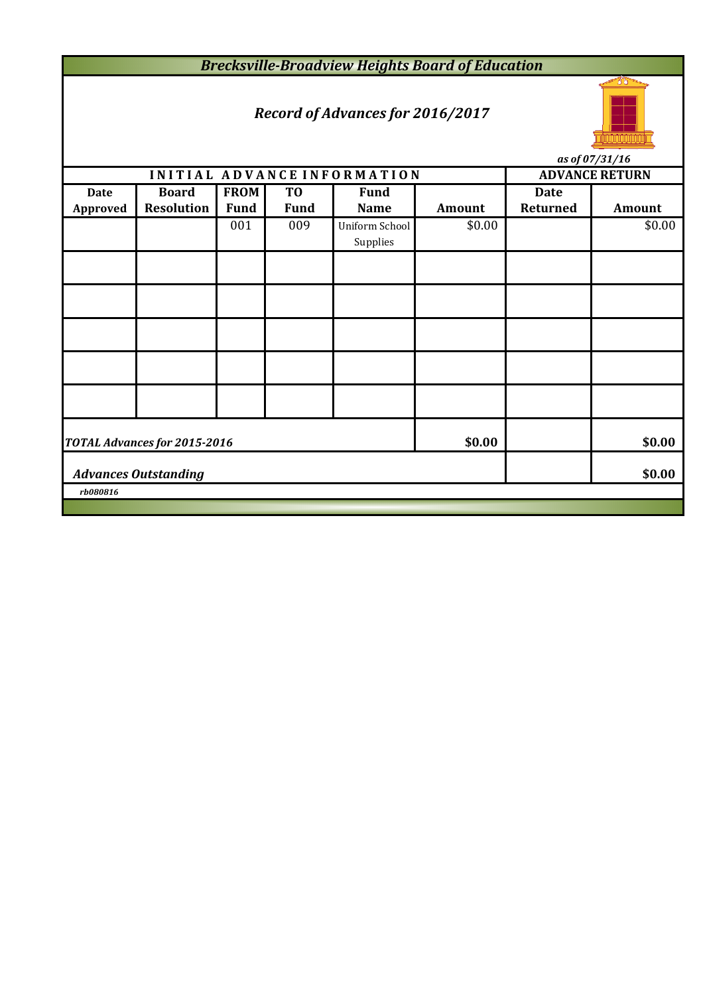*Brecksville-Broadview Heights Board of Education*

# *Record of Advances for 2016/2017*



**INITIAL ADVANCE INFORMATION ADVANCE RETURN Date Board FROM TO Fund Date Approved Resolution Fund Fund Name Amount Returned Amount** 001 009 Uniform School \$0.00 \$0.00 \$0.00 Supplies *as of 07/31/16*

|                                       | TOTAL Advances for 2015-2016 |  |  | \$0.00 |  | \$0.00 |  |  |
|---------------------------------------|------------------------------|--|--|--------|--|--------|--|--|
| \$0.00<br><b>Advances Outstanding</b> |                              |  |  |        |  |        |  |  |
| rb080816                              |                              |  |  |        |  |        |  |  |
|                                       |                              |  |  |        |  |        |  |  |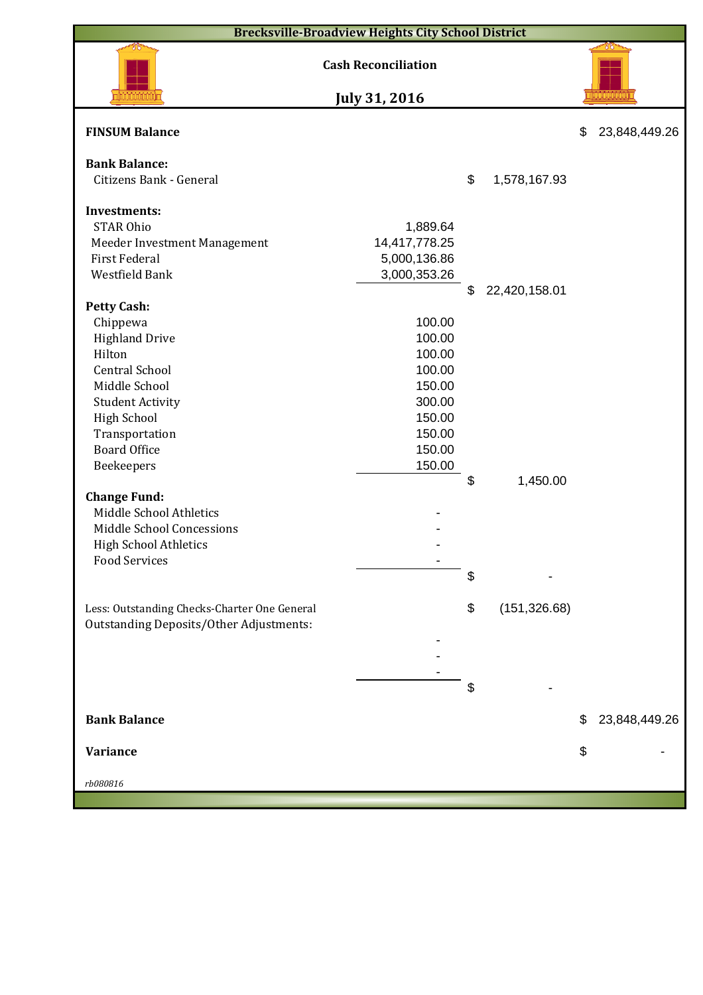|                                                | <b>Brecksville-Broadview Heights City School District</b> |                     |                     |
|------------------------------------------------|-----------------------------------------------------------|---------------------|---------------------|
| <b>Cash Reconciliation</b>                     |                                                           |                     |                     |
|                                                | July 31, 2016                                             |                     |                     |
| <b>FINSUM Balance</b>                          |                                                           |                     | \$<br>23,848,449.26 |
| <b>Bank Balance:</b>                           |                                                           |                     |                     |
| Citizens Bank - General                        |                                                           | \$<br>1,578,167.93  |                     |
| <b>Investments:</b>                            |                                                           |                     |                     |
| <b>STAR Ohio</b>                               | 1,889.64                                                  |                     |                     |
| Meeder Investment Management                   | 14,417,778.25                                             |                     |                     |
| <b>First Federal</b>                           | 5,000,136.86                                              |                     |                     |
| Westfield Bank                                 | 3,000,353.26                                              |                     |                     |
|                                                |                                                           | \$<br>22,420,158.01 |                     |
| <b>Petty Cash:</b>                             |                                                           |                     |                     |
| Chippewa                                       | 100.00                                                    |                     |                     |
| <b>Highland Drive</b>                          | 100.00                                                    |                     |                     |
| Hilton                                         | 100.00                                                    |                     |                     |
| <b>Central School</b>                          | 100.00                                                    |                     |                     |
| Middle School                                  | 150.00                                                    |                     |                     |
| <b>Student Activity</b>                        | 300.00                                                    |                     |                     |
| <b>High School</b>                             | 150.00                                                    |                     |                     |
| Transportation                                 | 150.00                                                    |                     |                     |
| <b>Board Office</b>                            | 150.00                                                    |                     |                     |
| Beekeepers                                     | 150.00                                                    |                     |                     |
|                                                |                                                           | \$<br>1,450.00      |                     |
| <b>Change Fund:</b>                            |                                                           |                     |                     |
| Middle School Athletics                        |                                                           |                     |                     |
| Middle School Concessions                      |                                                           |                     |                     |
| High School Athletics                          |                                                           |                     |                     |
| <b>Food Services</b>                           |                                                           |                     |                     |
|                                                |                                                           | \$                  |                     |
|                                                |                                                           |                     |                     |
| Less: Outstanding Checks-Charter One General   |                                                           | \$<br>(151, 326.68) |                     |
| <b>Outstanding Deposits/Other Adjustments:</b> |                                                           |                     |                     |
|                                                |                                                           |                     |                     |
|                                                |                                                           |                     |                     |
|                                                |                                                           |                     |                     |
|                                                |                                                           | \$                  |                     |
| <b>Bank Balance</b>                            |                                                           |                     | \$<br>23,848,449.26 |
|                                                |                                                           |                     |                     |
| <b>Variance</b>                                |                                                           |                     | \$                  |
| rb080816                                       |                                                           |                     |                     |
|                                                |                                                           |                     |                     |
|                                                |                                                           |                     |                     |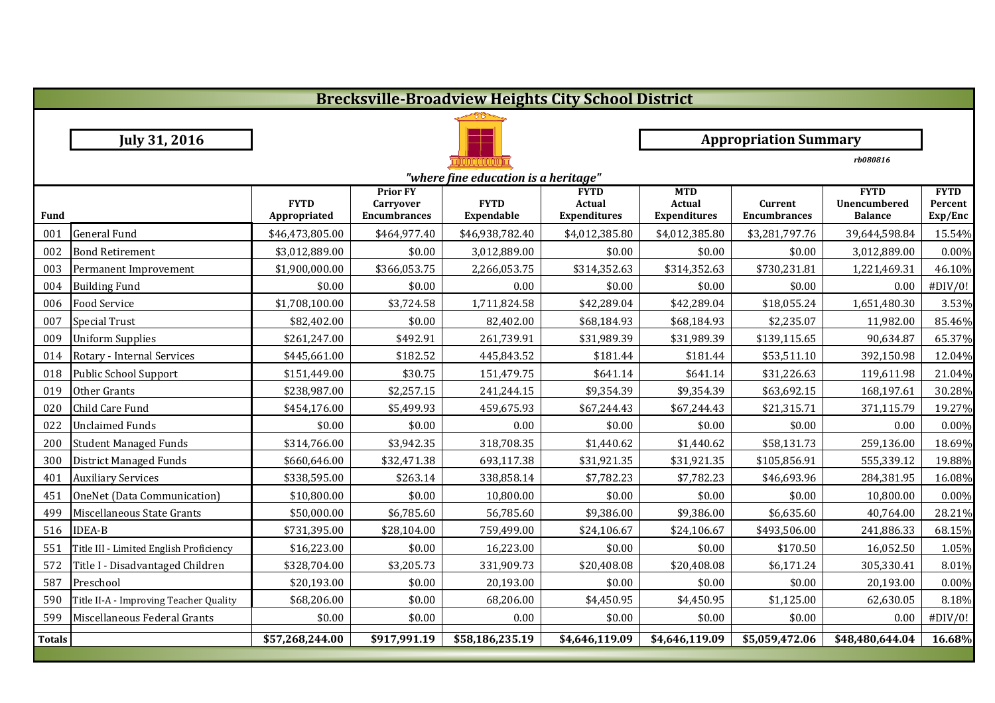|               | <b>Brecksville-Broadview Heights City School District</b> |                             |                                                     |                              |                                                     |                                             |                                |                                               |                                   |  |  |  |
|---------------|-----------------------------------------------------------|-----------------------------|-----------------------------------------------------|------------------------------|-----------------------------------------------------|---------------------------------------------|--------------------------------|-----------------------------------------------|-----------------------------------|--|--|--|
|               |                                                           |                             |                                                     |                              |                                                     |                                             |                                |                                               |                                   |  |  |  |
|               | <b>July 31, 2016</b>                                      |                             |                                                     | <b>Appropriation Summary</b> |                                                     |                                             |                                |                                               |                                   |  |  |  |
|               |                                                           |                             |                                                     |                              |                                                     |                                             |                                | rb080816                                      |                                   |  |  |  |
|               | "where fine education is a heritage"                      |                             |                                                     |                              |                                                     |                                             |                                |                                               |                                   |  |  |  |
| Fund          |                                                           | <b>FYTD</b><br>Appropriated | <b>Prior FY</b><br>Carryover<br><b>Encumbrances</b> | <b>FYTD</b><br>Expendable    | <b>FYTD</b><br><b>Actual</b><br><b>Expenditures</b> | <b>MTD</b><br><b>Actual</b><br>Expenditures | Current<br><b>Encumbrances</b> | <b>FYTD</b><br>Unencumbered<br><b>Balance</b> | <b>FYTD</b><br>Percent<br>Exp/Enc |  |  |  |
| 001           | <b>General Fund</b>                                       | \$46,473,805.00             | \$464,977.40                                        | \$46,938,782.40              | \$4,012,385.80                                      | \$4,012,385.80                              | \$3,281,797.76                 | 39,644,598.84                                 | 15.54%                            |  |  |  |
| 002           | <b>Bond Retirement</b>                                    | \$3,012,889.00              | \$0.00                                              | 3,012,889.00                 | \$0.00                                              | \$0.00                                      | \$0.00                         | 3,012,889.00                                  | 0.00%                             |  |  |  |
| 003           | Permanent Improvement                                     | \$1,900,000.00              | \$366,053.75                                        | 2,266,053.75                 | \$314,352.63                                        | \$314,352.63                                | \$730,231.81                   | 1,221,469.31                                  | 46.10%                            |  |  |  |
| 004           | <b>Building Fund</b>                                      | \$0.00                      | \$0.00                                              | 0.00                         | \$0.00                                              | \$0.00                                      | \$0.00                         | 0.00                                          | #DIV/0!                           |  |  |  |
| 006           | <b>Food Service</b>                                       | \$1,708,100.00              | \$3,724.58                                          | 1,711,824.58                 | \$42,289.04                                         | \$42,289.04                                 | \$18,055.24                    | 1,651,480.30                                  | 3.53%                             |  |  |  |
| 007           | <b>Special Trust</b>                                      | \$82,402.00                 | \$0.00                                              | 82,402.00                    | \$68,184.93                                         | \$68,184.93                                 | \$2,235.07                     | 11,982.00                                     | 85.46%                            |  |  |  |
| 009           | <b>Uniform Supplies</b>                                   | \$261,247.00                | \$492.91                                            | 261,739.91                   | \$31,989.39                                         | \$31,989.39                                 | \$139,115.65                   | 90,634.87                                     | 65.37%                            |  |  |  |
| 014           | Rotary - Internal Services                                | \$445,661.00                | \$182.52                                            | 445,843.52                   | \$181.44                                            | \$181.44                                    | \$53,511.10                    | 392,150.98                                    | 12.04%                            |  |  |  |
| 018           | Public School Support                                     | \$151,449.00                | \$30.75                                             | 151,479.75                   | \$641.14                                            | \$641.14                                    | \$31,226.63                    | 119,611.98                                    | 21.04%                            |  |  |  |
| 019           | Other Grants                                              | \$238,987.00                | \$2,257.15                                          | 241,244.15                   | \$9,354.39                                          | \$9,354.39                                  | \$63,692.15                    | 168,197.61                                    | 30.28%                            |  |  |  |
| 020           | Child Care Fund                                           | \$454,176.00                | \$5,499.93                                          | 459,675.93                   | \$67,244.43                                         | \$67,244.43                                 | \$21,315.71                    | 371,115.79                                    | 19.27%                            |  |  |  |
| 022           | <b>Unclaimed Funds</b>                                    | \$0.00                      | \$0.00                                              | 0.00                         | \$0.00                                              | \$0.00                                      | \$0.00                         | 0.00                                          | 0.00%                             |  |  |  |
| 200           | <b>Student Managed Funds</b>                              | \$314,766.00                | \$3,942.35                                          | 318,708.35                   | \$1,440.62                                          | \$1,440.62                                  | \$58,131.73                    | 259,136.00                                    | 18.69%                            |  |  |  |
| 300           | <b>District Managed Funds</b>                             | \$660,646.00                | \$32,471.38                                         | 693,117.38                   | \$31,921.35                                         | \$31,921.35                                 | \$105,856.91                   | 555,339.12                                    | 19.88%                            |  |  |  |
| 401           | <b>Auxiliary Services</b>                                 | \$338,595.00                | \$263.14                                            | 338,858.14                   | \$7,782.23                                          | \$7,782.23                                  | \$46,693.96                    | 284,381.95                                    | 16.08%                            |  |  |  |
| 451           | OneNet (Data Communication)                               | \$10,800.00                 | \$0.00                                              | 10,800.00                    | \$0.00                                              | \$0.00                                      | \$0.00                         | 10,800.00                                     | 0.00%                             |  |  |  |
| 499           | Miscellaneous State Grants                                | \$50,000.00                 | \$6,785.60                                          | 56,785.60                    | \$9,386.00                                          | \$9,386.00                                  | \$6,635.60                     | 40,764.00                                     | 28.21%                            |  |  |  |
| 516           | <b>IDEA-B</b>                                             | \$731,395.00                | \$28,104.00                                         | 759,499.00                   | \$24,106.67                                         | \$24,106.67                                 | \$493,506.00                   | 241,886.33                                    | 68.15%                            |  |  |  |
| 551           | Title III - Limited English Proficiency                   | \$16,223.00                 | \$0.00                                              | 16,223.00                    | \$0.00                                              | \$0.00                                      | \$170.50                       | 16,052.50                                     | 1.05%                             |  |  |  |
| 572           | Title I - Disadvantaged Children                          | \$328,704.00                | \$3,205.73                                          | 331,909.73                   | \$20,408.08                                         | \$20,408.08                                 | \$6,171.24                     | 305,330.41                                    | 8.01%                             |  |  |  |
| 587           | Preschool                                                 | \$20,193.00                 | \$0.00                                              | 20,193.00                    | \$0.00                                              | \$0.00                                      | \$0.00                         | 20,193.00                                     | 0.00%                             |  |  |  |
| 590           | Title II-A - Improving Teacher Quality                    | \$68,206.00                 | \$0.00                                              | 68,206.00                    | \$4,450.95                                          | \$4,450.95                                  | \$1,125.00                     | 62,630.05                                     | 8.18%                             |  |  |  |
| 599           | Miscellaneous Federal Grants                              | \$0.00                      | \$0.00                                              | 0.00                         | \$0.00                                              | \$0.00                                      | \$0.00                         | 0.00                                          | #DIV/0!                           |  |  |  |
| <b>Totals</b> |                                                           | \$57,268,244.00             | \$917,991.19                                        | \$58,186,235.19              | \$4,646,119.09                                      | \$4,646,119.09                              | \$5,059,472.06                 | \$48,480,644.04                               | 16.68%                            |  |  |  |